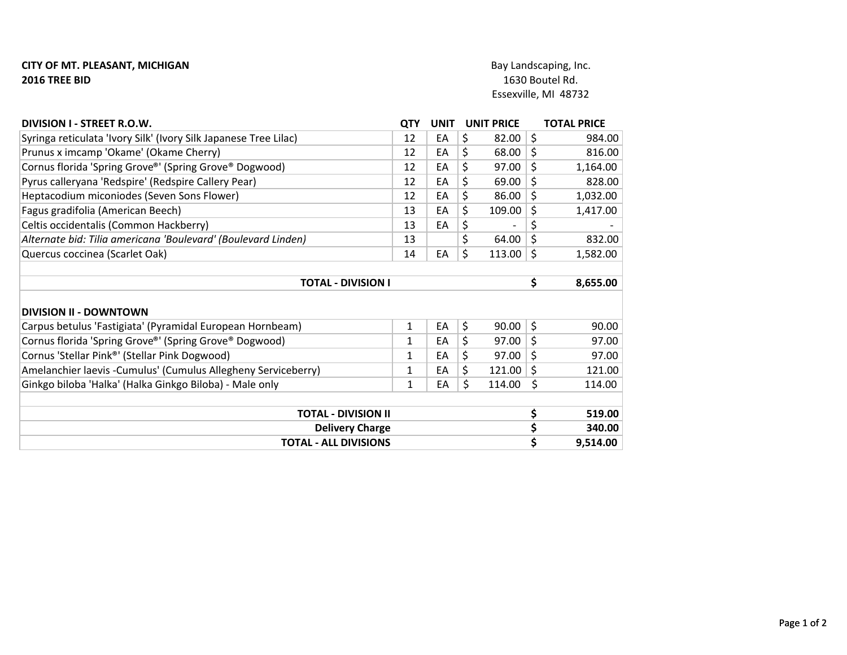## CITY OF MT. PLEASANT, MICHIGAN 2016 TREE BID

Bay Landscaping, Inc.1630 Boutel Rd.Essexville, MI 48732

| DIVISION I - STREET R.O.W.                                       | <b>QTY</b>   | <b>UNIT</b> | <b>UNIT PRICE</b> |         | <b>TOTAL PRICE</b> |
|------------------------------------------------------------------|--------------|-------------|-------------------|---------|--------------------|
| Syringa reticulata 'Ivory Silk' (Ivory Silk Japanese Tree Lilac) | 12           | EA          | \$<br>82.00       | $\zeta$ | 984.00             |
| Prunus x imcamp 'Okame' (Okame Cherry)                           | 12           | EA          | \$<br>68.00       | \$      | 816.00             |
| Cornus florida 'Spring Grove®' (Spring Grove® Dogwood)           | 12           | EA          | \$<br>97.00       | \$      | 1,164.00           |
| Pyrus calleryana 'Redspire' (Redspire Callery Pear)              | 12           | EA          | \$<br>69.00       | \$      | 828.00             |
| Heptacodium miconiodes (Seven Sons Flower)                       | 12           | EA          | \$<br>86.00       | $\zeta$ | 1,032.00           |
| Fagus gradifolia (American Beech)                                | 13           | EA          | \$<br>109.00      | \$      | 1,417.00           |
| Celtis occidentalis (Common Hackberry)                           | 13           | EA          | \$                | \$      |                    |
| Alternate bid: Tilia americana 'Boulevard' (Boulevard Linden)    | 13           |             | \$<br>64.00       | \$      | 832.00             |
| Quercus coccinea (Scarlet Oak)                                   | 14           | EA          | \$<br>113.00      | \$ ا    | 1,582.00           |
|                                                                  |              |             |                   |         |                    |
| <b>TOTAL - DIVISION I</b>                                        | \$           | 8,655.00    |                   |         |                    |
| <b>DIVISION II - DOWNTOWN</b>                                    |              |             |                   |         |                    |
| Carpus betulus 'Fastigiata' (Pyramidal European Hornbeam)        | $\mathbf{1}$ | EA          | \$<br>90.00       | $\zeta$ | 90.00              |
| Cornus florida 'Spring Grove®' (Spring Grove® Dogwood)           | $\mathbf{1}$ | EA          | \$<br>97.00       | $\zeta$ | 97.00              |
| Cornus 'Stellar Pink®' (Stellar Pink Dogwood)                    | 1            | EA          | \$<br>97.00       | \$      | 97.00              |
| Amelanchier laevis - Cumulus' (Cumulus Allegheny Serviceberry)   | 1            | EA          | \$<br>121.00      | $\zeta$ | 121.00             |
| Ginkgo biloba 'Halka' (Halka Ginkgo Biloba) - Male only          | 1            | EA          | \$<br>114.00      | \$      | 114.00             |
|                                                                  |              |             |                   |         |                    |
| <b>TOTAL - DIVISION II</b>                                       | \$           | 519.00      |                   |         |                    |
| <b>Delivery Charge</b>                                           | \$           | 340.00      |                   |         |                    |
| <b>TOTAL - ALL DIVISIONS</b>                                     | \$           | 9,514.00    |                   |         |                    |